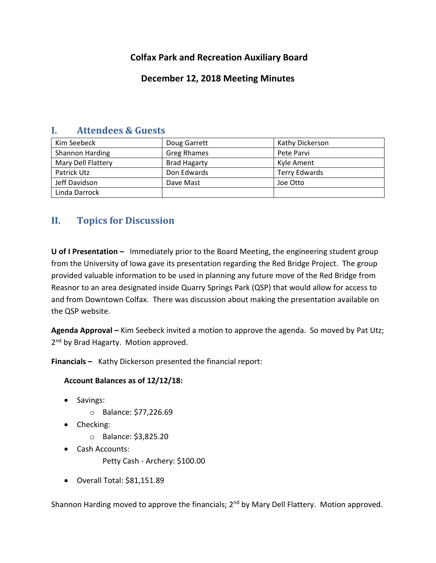## **Colfax Park and Recreation Auxiliary Board**

## **December 12, 2018 Meeting Minutes**

| л.<br>Attenders & Guests |                     |                      |
|--------------------------|---------------------|----------------------|
| Kim Seebeck              | Doug Garrett        | Kathy Dickerson      |
| Shannon Harding          | <b>Greg Rhames</b>  | Pete Parvi           |
| Mary Dell Flattery       | <b>Brad Hagarty</b> | Kyle Ament           |
| Patrick Utz              | Don Edwards         | <b>Terry Edwards</b> |
| Jeff Davidson            | Dave Mast           | Joe Otto             |
| Linda Darrock            |                     |                      |

# **I. Attendees & Guests**

# **II. Topics for Discussion**

**U of I Presentation –** Immediately prior to the Board Meeting, the engineering student group from the University of Iowa gave its presentation regarding the Red Bridge Project. The group provided valuable information to be used in planning any future move of the Red Bridge from Reasnor to an area designated inside Quarry Springs Park (QSP) that would allow for access to and from Downtown Colfax. There was discussion about making the presentation available on the QSP website.

**Agenda Approval –** Kim Seebeck invited a motion to approve the agenda. So moved by Pat Utz; 2<sup>nd</sup> by Brad Hagarty. Motion approved.

**Financials –** Kathy Dickerson presented the financial report:

### **Account Balances as of 12/12/18:**

- Savings:
	- o Balance: \$77,226.69
- Checking:
	- o Balance: \$3,825.20
- Cash Accounts:
	- Petty Cash Archery: \$100.00
- Overall Total: \$81,151.89

Shannon Harding moved to approve the financials; 2<sup>nd</sup> by Mary Dell Flattery. Motion approved.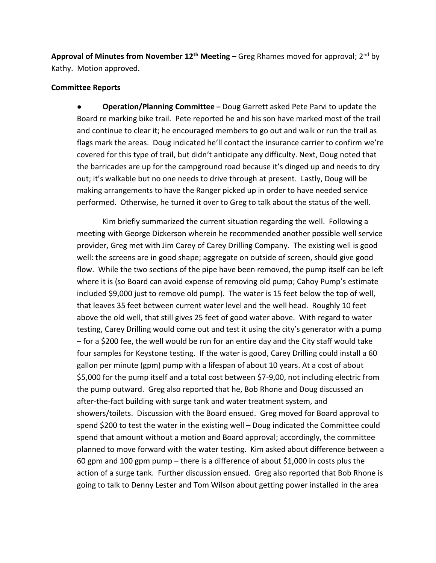**Approval of Minutes from November 12th Meeting –** Greg Rhames moved for approval; 2nd by Kathy. Motion approved.

### **Committee Reports**

● **Operation/Planning Committee –** Doug Garrett asked Pete Parvi to update the Board re marking bike trail. Pete reported he and his son have marked most of the trail and continue to clear it; he encouraged members to go out and walk or run the trail as flags mark the areas. Doug indicated he'll contact the insurance carrier to confirm we're covered for this type of trail, but didn't anticipate any difficulty. Next, Doug noted that the barricades are up for the campground road because it's dinged up and needs to dry out; it's walkable but no one needs to drive through at present. Lastly, Doug will be making arrangements to have the Ranger picked up in order to have needed service performed. Otherwise, he turned it over to Greg to talk about the status of the well.

Kim briefly summarized the current situation regarding the well. Following a meeting with George Dickerson wherein he recommended another possible well service provider, Greg met with Jim Carey of Carey Drilling Company. The existing well is good well: the screens are in good shape; aggregate on outside of screen, should give good flow. While the two sections of the pipe have been removed, the pump itself can be left where it is (so Board can avoid expense of removing old pump; Cahoy Pump's estimate included \$9,000 just to remove old pump). The water is 15 feet below the top of well, that leaves 35 feet between current water level and the well head. Roughly 10 feet above the old well, that still gives 25 feet of good water above. With regard to water testing, Carey Drilling would come out and test it using the city's generator with a pump – for a \$200 fee, the well would be run for an entire day and the City staff would take four samples for Keystone testing. If the water is good, Carey Drilling could install a 60 gallon per minute (gpm) pump with a lifespan of about 10 years. At a cost of about \$5,000 for the pump itself and a total cost between \$7-9,00, not including electric from the pump outward. Greg also reported that he, Bob Rhone and Doug discussed an after-the-fact building with surge tank and water treatment system, and showers/toilets. Discussion with the Board ensued. Greg moved for Board approval to spend \$200 to test the water in the existing well – Doug indicated the Committee could spend that amount without a motion and Board approval; accordingly, the committee planned to move forward with the water testing. Kim asked about difference between a 60 gpm and 100 gpm pump – there is a difference of about \$1,000 in costs plus the action of a surge tank. Further discussion ensued. Greg also reported that Bob Rhone is going to talk to Denny Lester and Tom Wilson about getting power installed in the area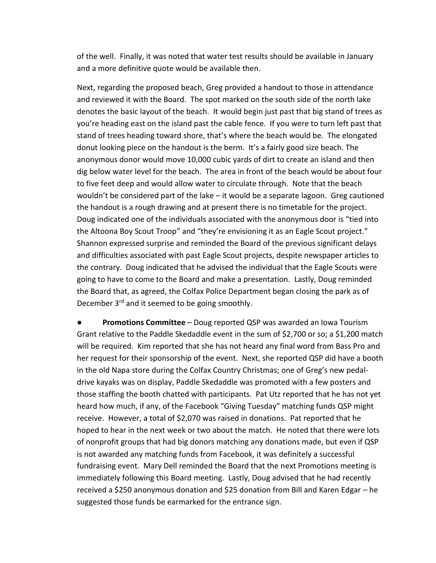of the well. Finally, it was noted that water test results should be available in January and a more definitive quote would be available then.

Next, regarding the proposed beach, Greg provided a handout to those in attendance and reviewed it with the Board. The spot marked on the south side of the north lake denotes the basic layout of the beach. It would begin just past that big stand of trees as you're heading east on the island past the cable fence. If you were to turn left past that stand of trees heading toward shore, that's where the beach would be. The elongated donut looking piece on the handout is the berm. It's a fairly good size beach. The anonymous donor would move 10,000 cubic yards of dirt to create an island and then dig below water level for the beach. The area in front of the beach would be about four to five feet deep and would allow water to circulate through. Note that the beach wouldn't be considered part of the lake – it would be a separate lagoon. Greg cautioned the handout is a rough drawing and at present there is no timetable for the project. Doug indicated one of the individuals associated with the anonymous door is "tied into the Altoona Boy Scout Troop" and "they're envisioning it as an Eagle Scout project." Shannon expressed surprise and reminded the Board of the previous significant delays and difficulties associated with past Eagle Scout projects, despite newspaper articles to the contrary. Doug indicated that he advised the individual that the Eagle Scouts were going to have to come to the Board and make a presentation. Lastly, Doug reminded the Board that, as agreed, the Colfax Police Department began closing the park as of December 3<sup>rd</sup> and it seemed to be going smoothly.

**Promotions Committee** – Doug reported QSP was awarded an Iowa Tourism Grant relative to the Paddle Skedaddle event in the sum of \$2,700 or so; a \$1,200 match will be required. Kim reported that she has not heard any final word from Bass Pro and her request for their sponsorship of the event. Next, she reported QSP did have a booth in the old Napa store during the Colfax Country Christmas; one of Greg's new pedaldrive kayaks was on display, Paddle Skedaddle was promoted with a few posters and those staffing the booth chatted with participants. Pat Utz reported that he has not yet heard how much, if any, of the Facebook "Giving Tuesday" matching funds QSP might receive. However, a total of \$2,070 was raised in donations. Pat reported that he hoped to hear in the next week or two about the match. He noted that there were lots of nonprofit groups that had big donors matching any donations made, but even if QSP is not awarded any matching funds from Facebook, it was definitely a successful fundraising event. Mary Dell reminded the Board that the next Promotions meeting is immediately following this Board meeting. Lastly, Doug advised that he had recently received a \$250 anonymous donation and \$25 donation from Bill and Karen Edgar – he suggested those funds be earmarked for the entrance sign.